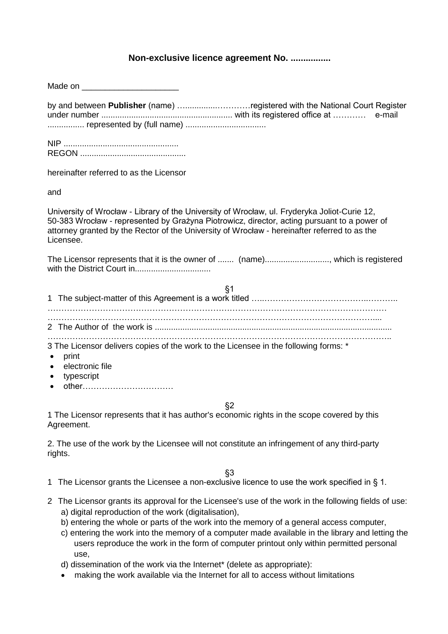## **Non-exclusive licence agreement No. ................**

| by and between Publisher (name) registered with the National Court Register<br>e-mail<br>represented by (full name)                                                                                                                                                                                      |
|----------------------------------------------------------------------------------------------------------------------------------------------------------------------------------------------------------------------------------------------------------------------------------------------------------|
|                                                                                                                                                                                                                                                                                                          |
| hereinafter referred to as the Licensor                                                                                                                                                                                                                                                                  |
| and                                                                                                                                                                                                                                                                                                      |
| University of Wrocław - Library of the University of Wrocław, ul. Fryderyka Joliot-Curie 12,<br>50-383 Wrocław - represented by Grażyna Piotrowicz, director, acting pursuant to a power of<br>attorney granted by the Rector of the University of Wrocław - hereinafter referred to as the<br>Licensee. |
|                                                                                                                                                                                                                                                                                                          |
| § <sub>1</sub>                                                                                                                                                                                                                                                                                           |
|                                                                                                                                                                                                                                                                                                          |
|                                                                                                                                                                                                                                                                                                          |
|                                                                                                                                                                                                                                                                                                          |
| 3 The Licensor delivers copies of the work to the Licensee in the following forms: *<br>print<br>electronic file<br>typescript<br>other                                                                                                                                                                  |
| $\S2$                                                                                                                                                                                                                                                                                                    |
| 1 The Licensor represents that it has author's economic rights in the scope covered by this<br>Agreement.                                                                                                                                                                                                |
| 2. The use of the work by the Licensee will not constitute an infringement of any third-party<br>rights.                                                                                                                                                                                                 |
| §3                                                                                                                                                                                                                                                                                                       |
| 1 The Licensor grants the Licensee a non-exclusive licence to use the work specified in § 1.                                                                                                                                                                                                             |
| 2 The Licensor grants its approval for the Licensee's use of the work in the following fields of use:                                                                                                                                                                                                    |

- a) digital reproduction of the work (digitalisation),
- b) entering the whole or parts of the work into the memory of a general access computer,
- c) entering the work into the memory of a computer made available in the library and letting the users reproduce the work in the form of computer printout only within permitted personal use,
- d) dissemination of the work via the Internet\* (delete as appropriate):
- making the work available via the Internet for all to access without limitations